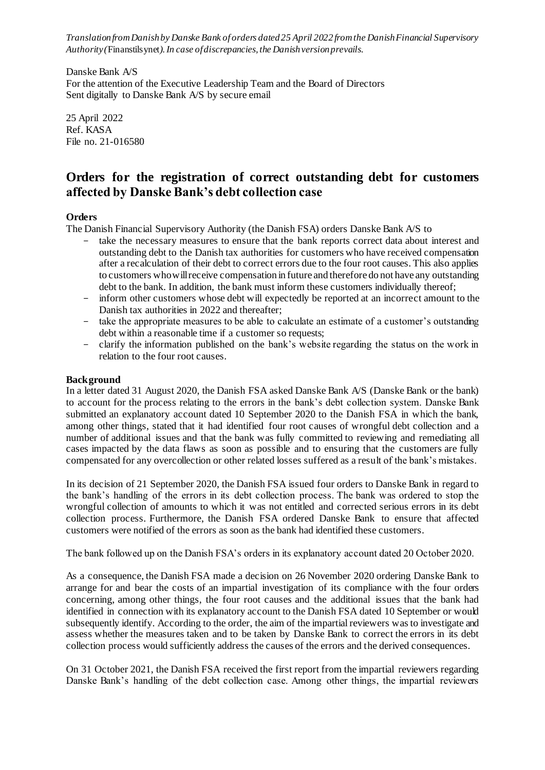*Translation from Danish by Danske Bank of orders dated 25 April 2022 from the Danish Financial Supervisory Authority (*Finanstilsynet*). In case of discrepancies, the Danish version prevails.*

Danske Bank A/S For the attention of the Executive Leadership Team and the Board of Directors Sent digitally to Danske Bank A/S by secure email

25 April 2022 Ref. KASA File no. 21-016580

# **Orders for the registration of correct outstanding debt for customers affected by Danske Bank's debt collection case**

## **Orders**

The Danish Financial Supervisory Authority (the Danish FSA) orders Danske Bank A/S to

- take the necessary measures to ensure that the bank reports correct data about interest and outstanding debt to the Danish tax authorities for customers who have received compensation after a recalculation of their debt to correct errors due to the four root causes. This also applies to customers who will receive compensation in future and therefore do not have any outstanding debt to the bank. In addition, the bank must inform these customers individually thereof;
- inform other customers whose debt will expectedly be reported at an incorrect amount to the Danish tax authorities in 2022 and thereafter;
- take the appropriate measures to be able to calculate an estimate of a customer's outstanding debt within a reasonable time if a customer so requests;
- clarify the information published on the bank's website regarding the status on the work in relation to the four root causes.

## **Background**

In a letter dated 31 August 2020, the Danish FSA asked Danske Bank A/S (Danske Bank or the bank) to account for the process relating to the errors in the bank's debt collection system. Danske Bank submitted an explanatory account dated 10 September 2020 to the Danish FSA in which the bank, among other things, stated that it had identified four root causes of wrongful debt collection and a number of additional issues and that the bank was fully committed to reviewing and remediating all cases impacted by the data flaws as soon as possible and to ensuring that the customers are fully compensated for any overcollection or other related losses suffered as a result of the bank's mistakes.

In its decision of 21 September 2020, the Danish FSA issued four orders to Danske Bank in regard to the bank's handling of the errors in its debt collection process. The bank was ordered to stop the wrongful collection of amounts to which it was not entitled and corrected serious errors in its debt collection process. Furthermore, the Danish FSA ordered Danske Bank to ensure that affected customers were notified of the errors as soon as the bank had identified these customers.

The bank followed up on the Danish FSA's orders in its explanatory account dated 20 October 2020.

As a consequence, the Danish FSA made a decision on 26 November 2020 ordering Danske Bank to arrange for and bear the costs of an impartial investigation of its compliance with the four orders concerning, among other things, the four root causes and the additional issues that the bank had identified in connection with its explanatory account to the Danish FSA dated 10 September or would subsequently identify. According to the order, the aim of the impartial reviewers was to investigate and assess whether the measures taken and to be taken by Danske Bank to correct the errors in its debt collection process would sufficiently address the causes of the errors and the derived consequences.

On 31 October 2021, the Danish FSA received the first report from the impartial reviewers regarding Danske Bank's handling of the debt collection case. Among other things, the impartial reviewers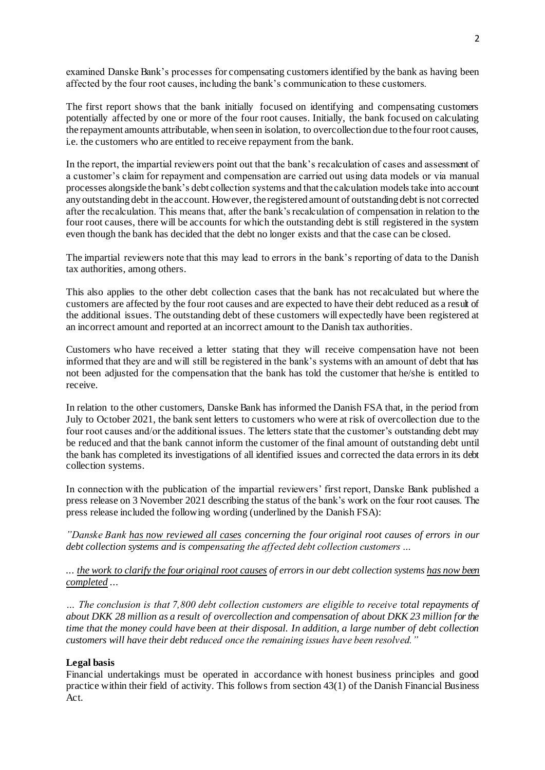examined Danske Bank's processes for compensating customers identified by the bank as having been affected by the four root causes, including the bank's communication to these customers.

The first report shows that the bank initially focused on identifying and compensating customers potentially affected by one or more of the four root causes. Initially, the bank focused on calculating the repayment amounts attributable, when seen in isolation, to overcollection due to the four root causes, i.e. the customers who are entitled to receive repayment from the bank.

In the report, the impartial reviewers point out that the bank's recalculation of cases and assessment of a customer's claim for repayment and compensation are carried out using data models or via manual processes alongside the bank's debt collection systems and that the calculation models take into account any outstanding debt in the account. However, the registered amount of outstanding debt is not corrected after the recalculation. This means that, after the bank's recalculation of compensation in relation to the four root causes, there will be accounts for which the outstanding debt is still registered in the system even though the bank has decided that the debt no longer exists and that the case can be closed.

The impartial reviewers note that this may lead to errors in the bank's reporting of data to the Danish tax authorities, among others.

This also applies to the other debt collection cases that the bank has not recalculated but where the customers are affected by the four root causes and are expected to have their debt reduced as a result of the additional issues. The outstanding debt of these customers will expectedly have been registered at an incorrect amount and reported at an incorrect amount to the Danish tax authorities.

Customers who have received a letter stating that they will receive compensation have not been informed that they are and will still be registered in the bank's systems with an amount of debt that has not been adjusted for the compensation that the bank has told the customer that he/she is entitled to receive.

In relation to the other customers, Danske Bank has informed the Danish FSA that, in the period from July to October 2021, the bank sent letters to customers who were at risk of overcollection due to the four root causes and/or the additional issues. The letters state that the customer's outstanding debt may be reduced and that the bank cannot inform the customer of the final amount of outstanding debt until the bank has completed its investigations of all identified issues and corrected the data errors in its debt collection systems.

In connection with the publication of the impartial reviewers' first report, Danske Bank published a press release on 3 November 2021 describing the status of the bank's work on the four root causes. The press release included the following wording (underlined by the Danish FSA):

*"Danske Bank has now reviewed all cases concerning the four original root causes of errors in our debt collection systems and is compensating the affected debt collection customers …*

*... the work to clarify the four original root causes of errors in our debt collection systems has now been completed ...*

*… The conclusion is that 7,800 debt collection customers are eligible to receive total repayments of about DKK 28 million as a result of overcollection and compensation of about DKK 23 million for the time that the money could have been at their disposal. In addition, a large number of debt collection customers will have their debt reduced once the remaining issues have been resolved."*

## **Legal basis**

Financial undertakings must be operated in accordance with honest business principles and good practice within their field of activity. This follows from section 43(1) of the Danish Financial Business Act.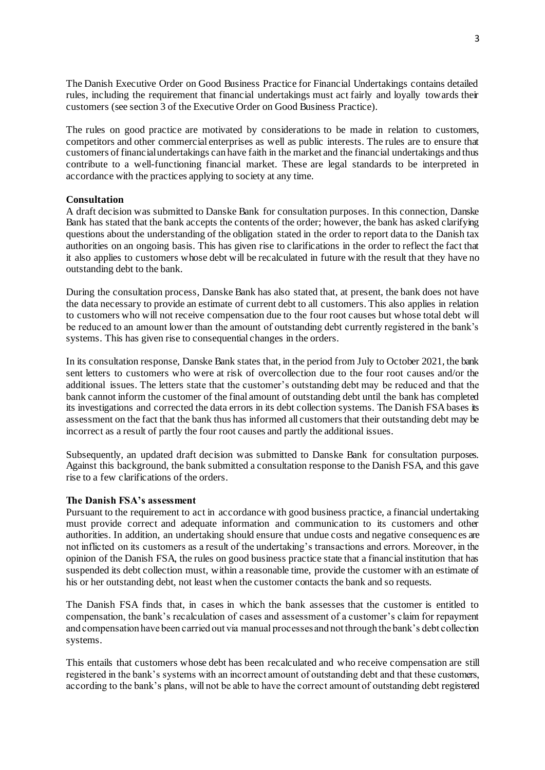The Danish Executive Order on Good Business Practice for Financial Undertakings contains detailed rules, including the requirement that financial undertakings must act fairly and loyally towards their customers (see section 3 of the Executive Order on Good Business Practice).

The rules on good practice are motivated by considerations to be made in relation to customers, competitors and other commercial enterprises as well as public interests. The rules are to ensure that customers of financial undertakings can have faith in the market and the financial undertakings and thus contribute to a well-functioning financial market. These are legal standards to be interpreted in accordance with the practices applying to society at any time.

#### **Consultation**

A draft decision was submitted to Danske Bank for consultation purposes. In this connection, Danske Bank has stated that the bank accepts the contents of the order; however, the bank has asked clarifying questions about the understanding of the obligation stated in the order to report data to the Danish tax authorities on an ongoing basis. This has given rise to clarifications in the order to reflect the fact that it also applies to customers whose debt will be recalculated in future with the result that they have no outstanding debt to the bank.

During the consultation process, Danske Bank has also stated that, at present, the bank does not have the data necessary to provide an estimate of current debt to all customers. This also applies in relation to customers who will not receive compensation due to the four root causes but whose total debt will be reduced to an amount lower than the amount of outstanding debt currently registered in the bank's systems. This has given rise to consequential changes in the orders.

In its consultation response, Danske Bank states that, in the period from July to October 2021, the bank sent letters to customers who were at risk of overcollection due to the four root causes and/or the additional issues. The letters state that the customer's outstanding debt may be reduced and that the bank cannot inform the customer of the final amount of outstanding debt until the bank has completed its investigations and corrected the data errors in its debt collection systems. The Danish FSA bases its assessment on the fact that the bank thus has informed all customers that their outstanding debt may be incorrect as a result of partly the four root causes and partly the additional issues.

Subsequently, an updated draft decision was submitted to Danske Bank for consultation purposes. Against this background, the bank submitted a consultation response to the Danish FSA, and this gave rise to a few clarifications of the orders.

#### **The Danish FSA's assessment**

Pursuant to the requirement to act in accordance with good business practice, a financial undertaking must provide correct and adequate information and communication to its customers and other authorities. In addition, an undertaking should ensure that undue costs and negative consequenc es are not inflicted on its customers as a result of the undertaking's transactions and errors. Moreover, in the opinion of the Danish FSA, the rules on good business practice state that a financial institution that has suspended its debt collection must, within a reasonable time, provide the customer with an estimate of his or her outstanding debt, not least when the customer contacts the bank and so requests.

The Danish FSA finds that, in cases in which the bank assesses that the customer is entitled to compensation, the bank's recalculation of cases and assessment of a customer's claim for repayment and compensation have been carried out via manual processes and not through the bank's debt collection systems.

This entails that customers whose debt has been recalculated and who receive compensation are still registered in the bank's systems with an incorrect amount of outstanding debt and that these customers, according to the bank's plans, will not be able to have the correct amount of outstanding debt registered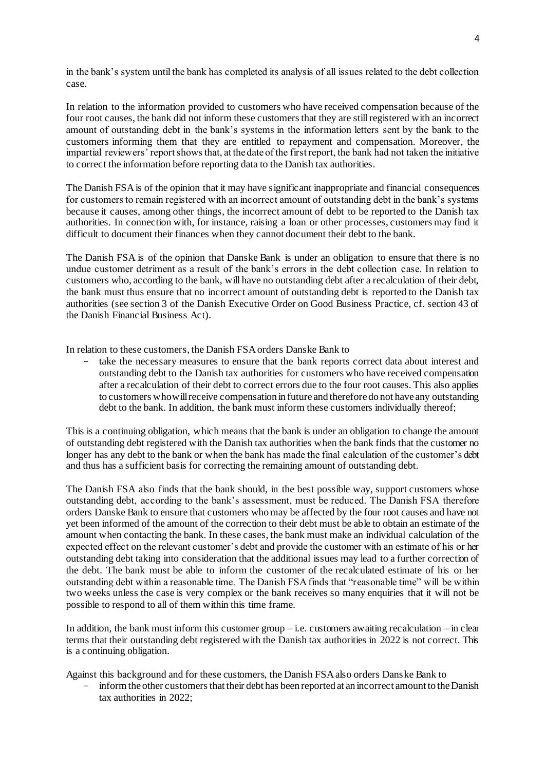in the bank's system until the bank has completed its analysis of all issues related to the debt collection case.

In relation to the information provided to customers who have received compensation because of the four root causes, the bank did not inform these customers that they are still registered with an incorrect amount of outstanding debt in the bank's systems in the information letters sent by the bank to the customers informing them that they are entitled to repayment and compensation. Moreover, the impartial reviewers' report shows that, at the date of the first report, the bank had not taken the initiative to correct the information before reporting data to the Danish tax authorities.

The Danish FSA is of the opinion that it may have significant inappropriate and financial consequences for customers to remain registered with an incorrect amount of outstanding debt in the bank's systems because it causes, among other things, the incorrect amount of debt to be reported to the Danish tax authorities. In connection with, for instance, raising a loan or other processes, customers may find it difficult to document their finances when they cannot document their debt to the bank.

The Danish FSA is of the opinion that Danske Bank is under an obligation to ensure that there is no undue customer detriment as a result of the bank's errors in the debt collection case. In relation to customers who, according to the bank, will have no outstanding debt after a recalculation of their debt, the bank must thus ensure that no incorrect amount of outstanding debt is reported to the Danish tax authorities (see section 3 of the Danish Executive Order on Good Business Practice, cf. section 43 of the Danish Financial Business Act).

In relation to these customers, the Danish FSA orders Danske Bank to

take the necessary measures to ensure that the bank reports correct data about interest and outstanding debt to the Danish tax authorities for customers who have received compensation after a recalculation of their debt to correct errors due to the four root causes. This also applies to customers who will receive compensation in future and therefore do not have any outstanding debt to the bank. In addition, the bank must inform these customers individually thereof;

This is a continuing obligation, which means that the bank is under an obligation to change the amount of outstanding debt registered with the Danish tax authorities when the bank finds that the customer no longer has any debt to the bank or when the bank has made the final calculation of the customer's debt and thus has a sufficient basis for correcting the remaining amount of outstanding debt.

The Danish FSA also finds that the bank should, in the best possible way, support customers whose outstanding debt, according to the bank's assessment, must be reduced. The Danish FSA therefore orders Danske Bank to ensure that customers who may be affected by the four root causes and have not yet been informed of the amount of the correction to their debt must be able to obtain an estimate of the amount when contacting the bank. In these cases, the bank must make an individual calculation of the expected effect on the relevant customer's debt and provide the customer with an estimate of his or her outstanding debt taking into consideration that the additional issues may lead to a further correction of the debt. The bank must be able to inform the customer of the recalculated estimate of his or her outstanding debt within a reasonable time. The Danish FSA finds that "reasonable time" will be within two weeks unless the case is very complex or the bank receives so many enquiries that it will not be possible to respond to all of them within this time frame.

In addition, the bank must inform this customer group  $-i.e.$  customers awaiting recalculation – in clear terms that their outstanding debt registered with the Danish tax authorities in 2022 is not correct. This is a continuing obligation.

Against this background and for these customers, the Danish FSA also orders Danske Bank to

inform the other customers that their debt has been reported at an incorrect amount to the Danish tax authorities in 2022;